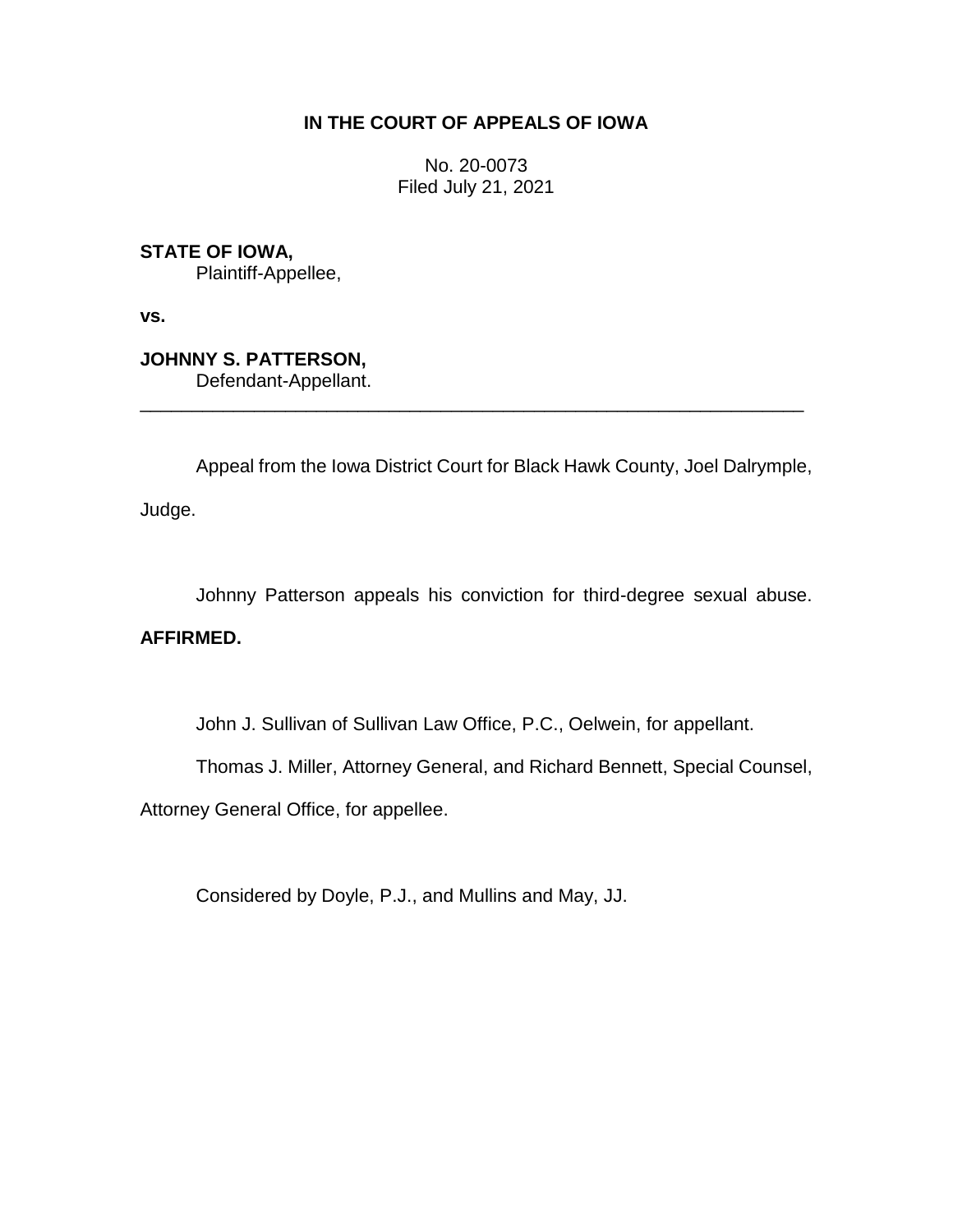# **IN THE COURT OF APPEALS OF IOWA**

No. 20-0073 Filed July 21, 2021

**STATE OF IOWA,** Plaintiff-Appellee,

**vs.**

**JOHNNY S. PATTERSON,** Defendant-Appellant.

Appeal from the Iowa District Court for Black Hawk County, Joel Dalrymple,

\_\_\_\_\_\_\_\_\_\_\_\_\_\_\_\_\_\_\_\_\_\_\_\_\_\_\_\_\_\_\_\_\_\_\_\_\_\_\_\_\_\_\_\_\_\_\_\_\_\_\_\_\_\_\_\_\_\_\_\_\_\_\_\_

Judge.

Johnny Patterson appeals his conviction for third-degree sexual abuse.

# **AFFIRMED.**

John J. Sullivan of Sullivan Law Office, P.C., Oelwein, for appellant.

Thomas J. Miller, Attorney General, and Richard Bennett, Special Counsel,

Attorney General Office, for appellee.

Considered by Doyle, P.J., and Mullins and May, JJ.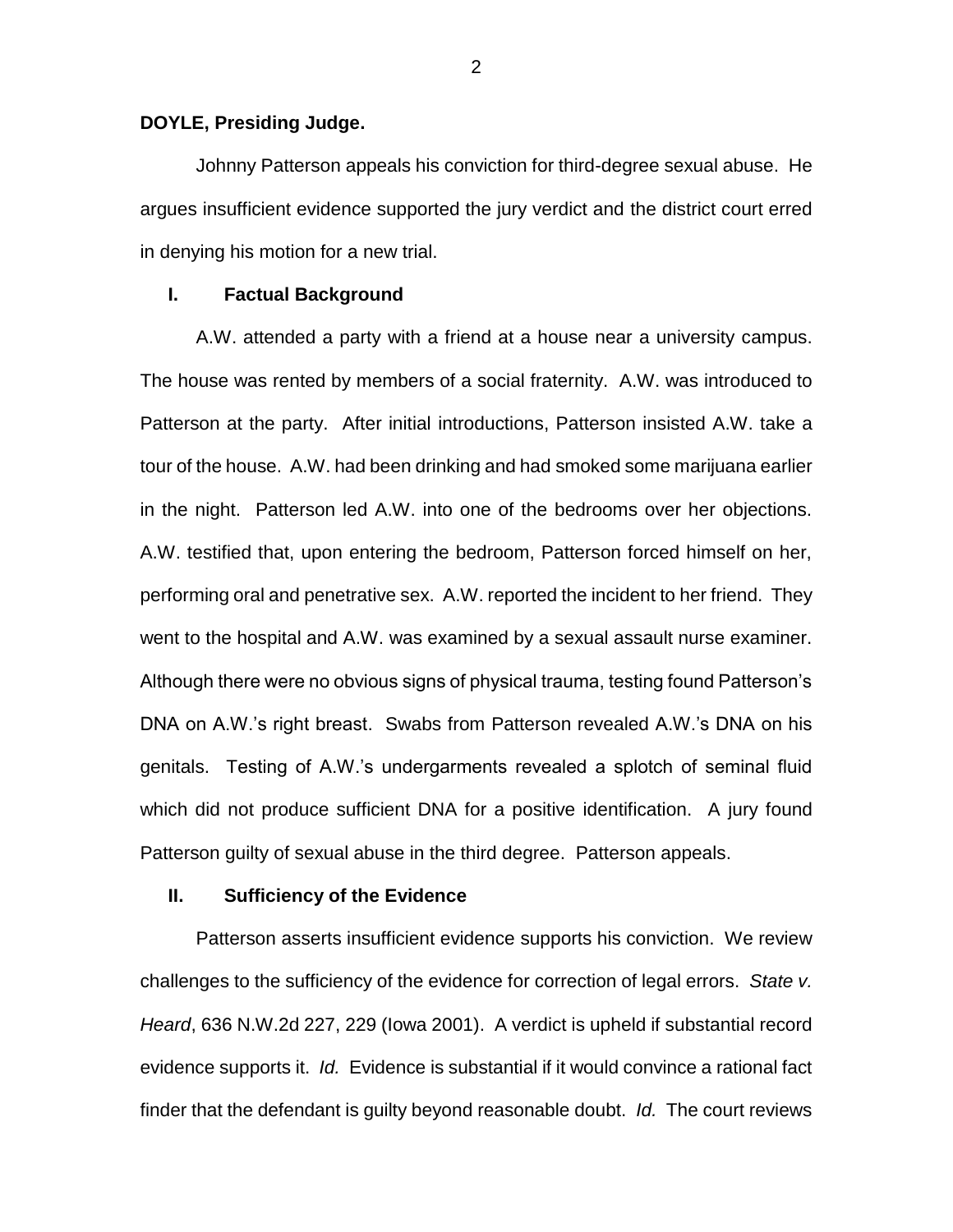#### **DOYLE, Presiding Judge.**

Johnny Patterson appeals his conviction for third-degree sexual abuse. He argues insufficient evidence supported the jury verdict and the district court erred in denying his motion for a new trial.

## **I. Factual Background**

A.W. attended a party with a friend at a house near a university campus. The house was rented by members of a social fraternity. A.W. was introduced to Patterson at the party. After initial introductions, Patterson insisted A.W. take a tour of the house. A.W. had been drinking and had smoked some marijuana earlier in the night. Patterson led A.W. into one of the bedrooms over her objections. A.W. testified that, upon entering the bedroom, Patterson forced himself on her, performing oral and penetrative sex. A.W. reported the incident to her friend. They went to the hospital and A.W. was examined by a sexual assault nurse examiner. Although there were no obvious signs of physical trauma, testing found Patterson's DNA on A.W.'s right breast. Swabs from Patterson revealed A.W.'s DNA on his genitals. Testing of A.W.'s undergarments revealed a splotch of seminal fluid which did not produce sufficient DNA for a positive identification. A jury found Patterson guilty of sexual abuse in the third degree. Patterson appeals.

## **II. Sufficiency of the Evidence**

Patterson asserts insufficient evidence supports his conviction. We review challenges to the sufficiency of the evidence for correction of legal errors. *State v. Heard*, 636 N.W.2d 227, 229 (Iowa 2001). A verdict is upheld if substantial record evidence supports it. *Id.* Evidence is substantial if it would convince a rational fact finder that the defendant is guilty beyond reasonable doubt. *Id.* The court reviews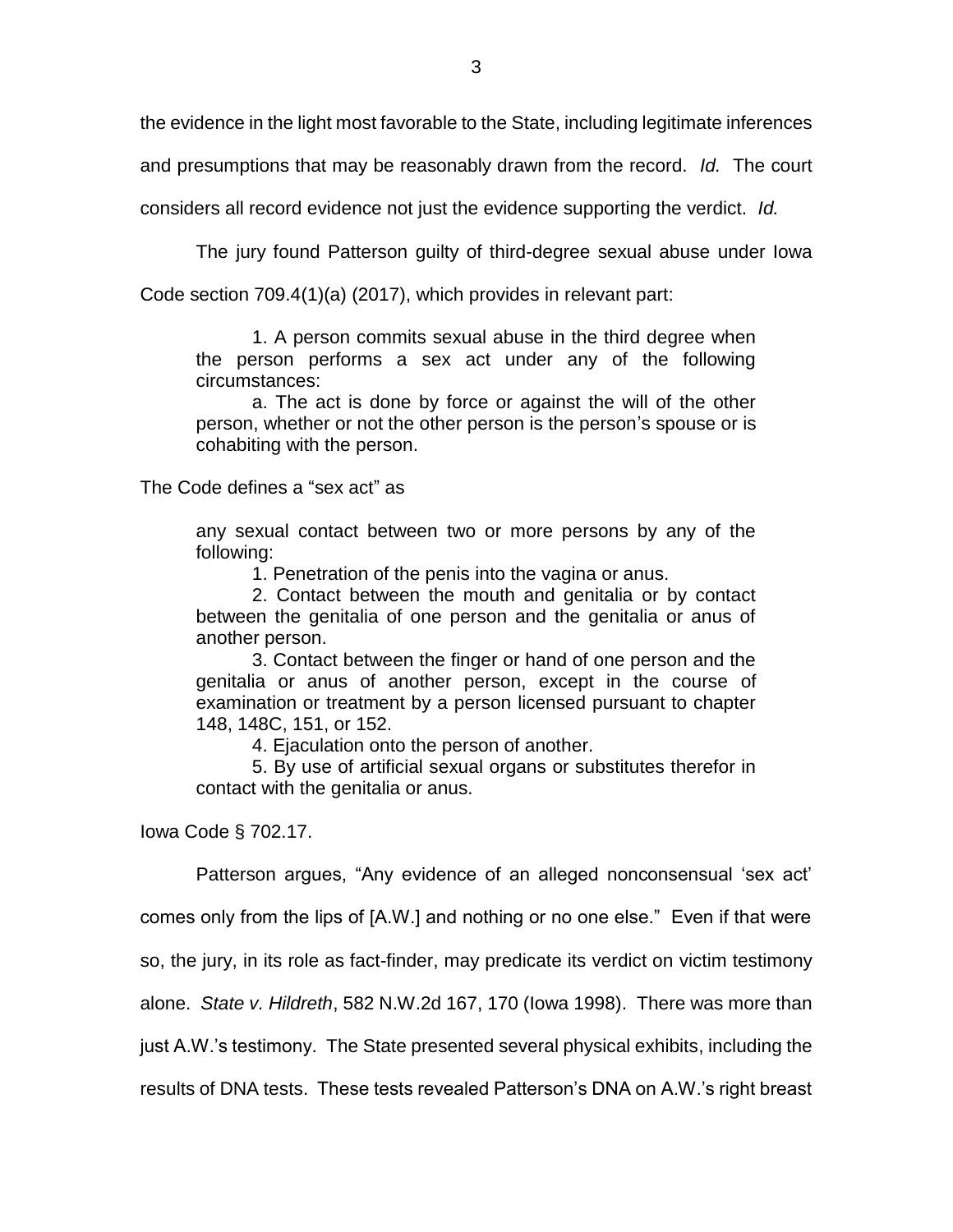the evidence in the light most favorable to the State, including legitimate inferences

and presumptions that may be reasonably drawn from the record. *Id.* The court

considers all record evidence not just the evidence supporting the verdict. *Id.*

The jury found Patterson guilty of third-degree sexual abuse under Iowa

Code section 709.4(1)(a) (2017), which provides in relevant part:

1. A person commits sexual abuse in the third degree when the person performs a sex act under any of the following circumstances:

a. The act is done by force or against the will of the other person, whether or not the other person is the person's spouse or is cohabiting with the person.

The Code defines a "sex act" as

any sexual contact between two or more persons by any of the following:

1. Penetration of the penis into the vagina or anus.

2. Contact between the mouth and genitalia or by contact between the genitalia of one person and the genitalia or anus of another person.

3. Contact between the finger or hand of one person and the genitalia or anus of another person, except in the course of examination or treatment by a person licensed pursuant to chapter 148, 148C, 151, or 152.

4. Ejaculation onto the person of another.

5. By use of artificial sexual organs or substitutes therefor in contact with the genitalia or anus.

Iowa Code § 702.17.

Patterson argues, "Any evidence of an alleged nonconsensual 'sex act'

comes only from the lips of [A.W.] and nothing or no one else." Even if that were

so, the jury, in its role as fact-finder, may predicate its verdict on victim testimony

alone. *State v. Hildreth*, 582 N.W.2d 167, 170 (Iowa 1998). There was more than

just A.W.'s testimony. The State presented several physical exhibits, including the

results of DNA tests. These tests revealed Patterson's DNA on A.W.'s right breast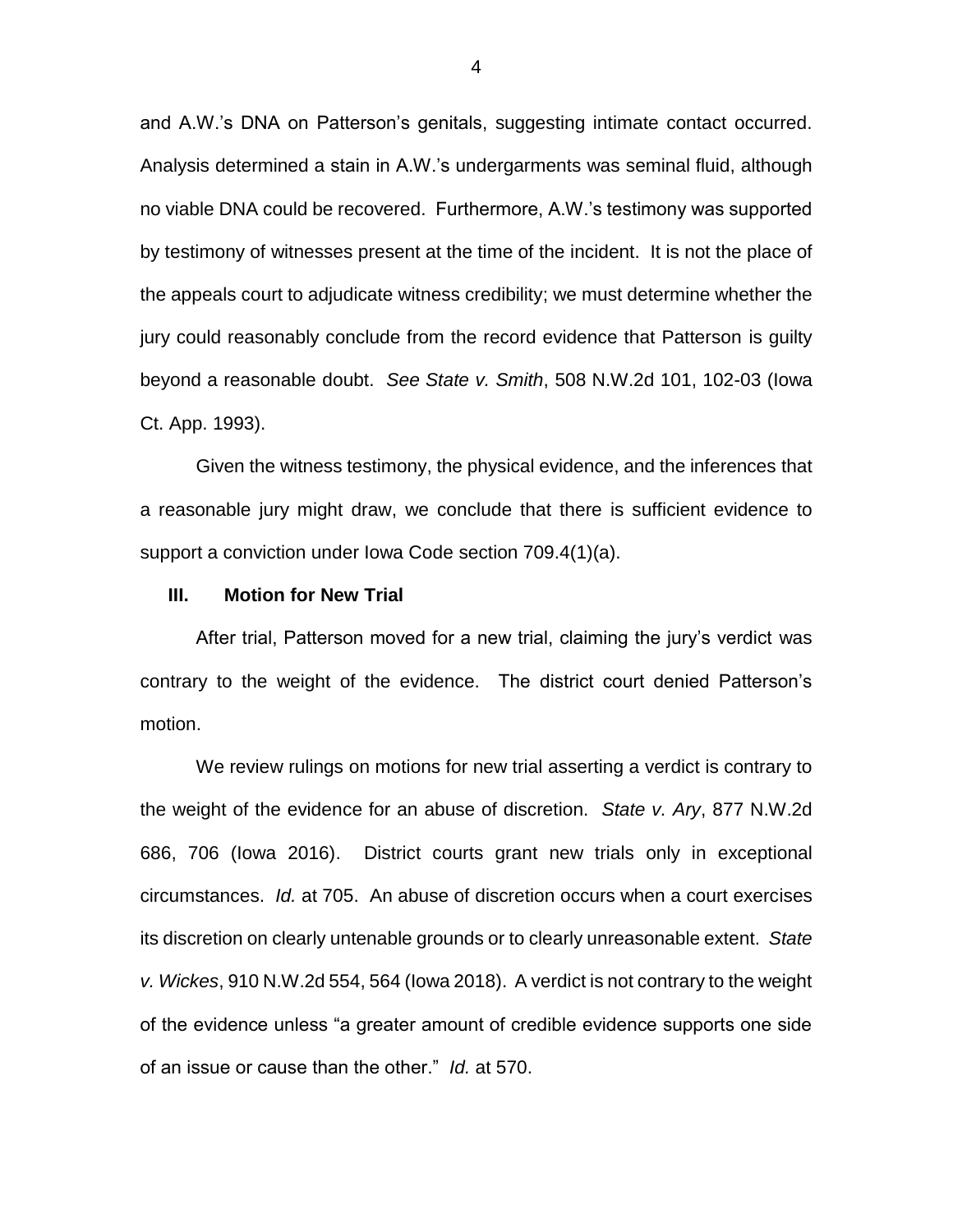and A.W.'s DNA on Patterson's genitals, suggesting intimate contact occurred. Analysis determined a stain in A.W.'s undergarments was seminal fluid, although no viable DNA could be recovered. Furthermore, A.W.'s testimony was supported by testimony of witnesses present at the time of the incident. It is not the place of the appeals court to adjudicate witness credibility; we must determine whether the jury could reasonably conclude from the record evidence that Patterson is guilty beyond a reasonable doubt. *See State v. Smith*, 508 N.W.2d 101, 102-03 (Iowa Ct. App. 1993).

Given the witness testimony, the physical evidence, and the inferences that a reasonable jury might draw, we conclude that there is sufficient evidence to support a conviction under Iowa Code section 709.4(1)(a).

#### **III. Motion for New Trial**

After trial, Patterson moved for a new trial, claiming the jury's verdict was contrary to the weight of the evidence. The district court denied Patterson's motion.

We review rulings on motions for new trial asserting a verdict is contrary to the weight of the evidence for an abuse of discretion. *State v. Ary*, 877 N.W.2d 686, 706 (Iowa 2016). District courts grant new trials only in exceptional circumstances. *Id.* at 705. An abuse of discretion occurs when a court exercises its discretion on clearly untenable grounds or to clearly unreasonable extent. *State v. Wickes*, 910 N.W.2d 554, 564 (Iowa 2018). A verdict is not contrary to the weight of the evidence unless "a greater amount of credible evidence supports one side of an issue or cause than the other." *Id.* at 570.